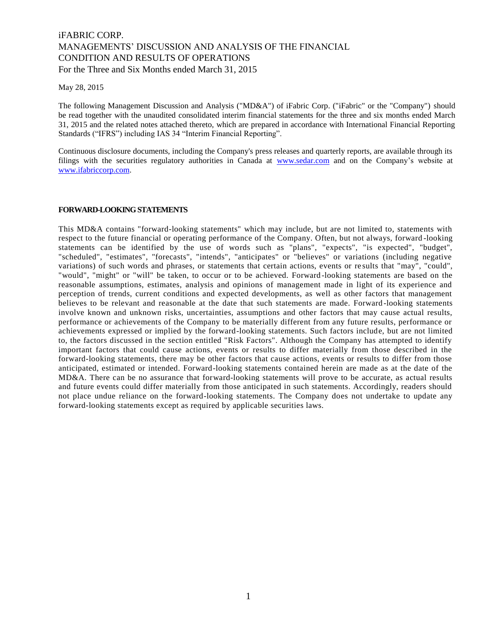# iFABRIC CORP. MANAGEMENTS' DISCUSSION AND ANALYSIS OF THE FINANCIAL CONDITION AND RESULTS OF OPERATIONS For the Three and Six Months ended March 31, 2015

May 28, 2015

The following Management Discussion and Analysis ("MD&A") of iFabric Corp. ("iFabric" or the "Company") should be read together with the unaudited consolidated interim financial statements for the three and six months ended March 31, 2015 and the related notes attached thereto, which are prepared in accordance with International Financial Reporting Standards ("IFRS") including IAS 34 "Interim Financial Reporting".

Continuous disclosure documents, including the Company's press releases and quarterly reports, are available through its filings with the securities regulatory authorities in Canada at [www.sedar.com](http://www.sedar.com/) and on the Company's website at [www.ifabriccorp.com.](file:///C:/Users/Hilton/Dropbox/iFabric%20(1)/MDA/Q%201%202015/www.ifabriccorp.com)

#### **FORWARD-LOOKING STATEMENTS**

This MD&A contains "forward-looking statements" which may include, but are not limited to, statements with respect to the future financial or operating performance of the Company. Often, but not always, forward -looking statements can be identified by the use of words such as "plans", "expects", "is expected", "budget", "scheduled", "estimates", "forecasts", "intends", "anticipates" or "believes" or variations (including negative variations) of such words and phrases, or statements that certain actions, events or re sults that "may", "could", "would", "might" or "will" be taken, to occur or to be achieved. Forward -looking statements are based on the reasonable assumptions, estimates, analysis and opinions of management made in light of its experience and perception of trends, current conditions and expected developments, as well as other factors that management believes to be relevant and reasonable at the date that such statements are made. Forward -looking statements involve known and unknown risks, uncertainties, assumptions and other factors that may cause actual results, performance or achievements of the Company to be materially different from any future results, performance or achievements expressed or implied by the forward-looking statements. Such factors include, but are not limited to, the factors discussed in the section entitled "Risk Factors". Although the Company has attempted to identify important factors that could cause actions, events or results to differ materially from those described in the forward-looking statements, there may be other factors that cause actions, events or results to differ from those anticipated, estimated or intended. Forward-looking statements contained herein are made as at the date of the MD&A. There can be no assurance that forward-looking statements will prove to be accurate, as actual results and future events could differ materially from those anticipated in such statements. Accordingly, readers should not place undue reliance on the forward-looking statements. The Company does not undertake to update any forward-looking statements except as required by applicable securities laws.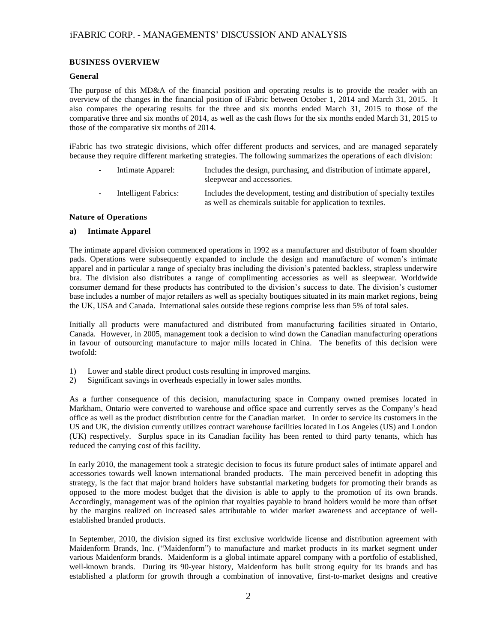#### **BUSINESS OVERVIEW**

#### **General**

The purpose of this MD&A of the financial position and operating results is to provide the reader with an overview of the changes in the financial position of iFabric between October 1, 2014 and March 31, 2015. It also compares the operating results for the three and six months ended March 31, 2015 to those of the comparative three and six months of 2014, as well as the cash flows for the six months ended March 31, 2015 to those of the comparative six months of 2014.

iFabric has two strategic divisions, which offer different products and services, and are managed separately because they require different marketing strategies. The following summarizes the operations of each division:

- Intimate Apparel: Includes the design, purchasing, and distribution of intimate apparel, sleepwear and accessories.
	- Intelligent Fabrics: Includes the development, testing and distribution of specialty textiles as well as chemicals suitable for application to textiles.

#### **Nature of Operations**

### **a) Intimate Apparel**

The intimate apparel division commenced operations in 1992 as a manufacturer and distributor of foam shoulder pads. Operations were subsequently expanded to include the design and manufacture of women's intimate apparel and in particular a range of specialty bras including the division's patented backless, strapless underwire bra. The division also distributes a range of complimenting accessories as well as sleepwear. Worldwide consumer demand for these products has contributed to the division's success to date. The division's customer base includes a number of major retailers as well as specialty boutiques situated in its main market regions, being the UK, USA and Canada. International sales outside these regions comprise less than 5% of total sales.

Initially all products were manufactured and distributed from manufacturing facilities situated in Ontario, Canada. However, in 2005, management took a decision to wind down the Canadian manufacturing operations in favour of outsourcing manufacture to major mills located in China. The benefits of this decision were twofold:

- 1) Lower and stable direct product costs resulting in improved margins.
- 2) Significant savings in overheads especially in lower sales months.

As a further consequence of this decision, manufacturing space in Company owned premises located in Markham, Ontario were converted to warehouse and office space and currently serves as the Company's head office as well as the product distribution centre for the Canadian market. In order to service its customers in the US and UK, the division currently utilizes contract warehouse facilities located in Los Angeles (US) and London (UK) respectively. Surplus space in its Canadian facility has been rented to third party tenants, which has reduced the carrying cost of this facility.

In early 2010, the management took a strategic decision to focus its future product sales of intimate apparel and accessories towards well known international branded products. The main perceived benefit in adopting this strategy, is the fact that major brand holders have substantial marketing budgets for promoting their brands as opposed to the more modest budget that the division is able to apply to the promotion of its own brands. Accordingly, management was of the opinion that royalties payable to brand holders would be more than offset by the margins realized on increased sales attributable to wider market awareness and acceptance of wellestablished branded products.

In September, 2010, the division signed its first exclusive worldwide license and distribution agreement with Maidenform Brands, Inc. ("Maidenform") to manufacture and market products in its market segment under various Maidenform brands. Maidenform is a global intimate apparel company with a portfolio of established, well-known brands. During its 90-year history, Maidenform has built strong equity for its brands and has established a platform for growth through a combination of innovative, first-to-market designs and creative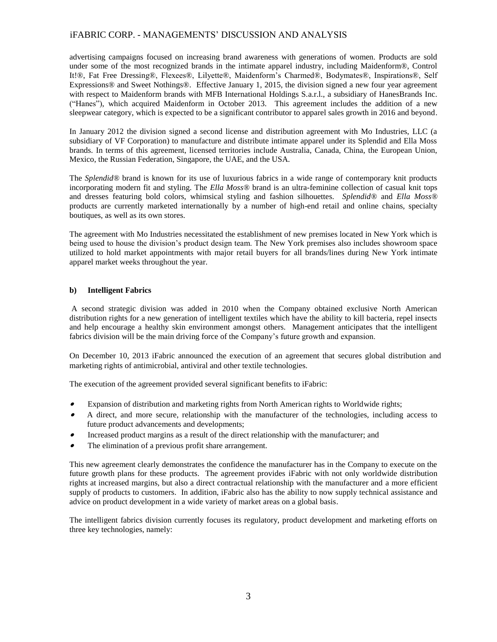advertising campaigns focused on increasing brand awareness with generations of women. Products are sold under some of the most recognized brands in the intimate apparel industry, including Maidenform®, Control It!®, Fat Free Dressing®, Flexees®, Lilyette®, Maidenform's Charmed®, Bodymates®, Inspirations®, Self Expressions® and Sweet Nothings®. Effective January 1, 2015, the division signed a new four year agreement with respect to Maidenform brands with MFB International Holdings S.a.r.l., a subsidiary of HanesBrands Inc. ("Hanes"), which acquired Maidenform in October 2013. This agreement includes the addition of a new sleepwear category, which is expected to be a significant contributor to apparel sales growth in 2016 and beyond.

In January 2012 the division signed a second license and distribution agreement with Mo Industries, LLC (a subsidiary of VF Corporation) to manufacture and distribute intimate apparel under its Splendid and Ella Moss brands. In terms of this agreement, licensed territories include Australia, Canada, China, the European Union, Mexico, the Russian Federation, Singapore, the UAE, and the USA.

The *Splendid®* brand is known for its use of luxurious fabrics in a wide range of contemporary knit products incorporating modern fit and styling. The *Ella Moss®* brand is an ultra-feminine collection of casual knit tops and dresses featuring bold colors, whimsical styling and fashion silhouettes. *Splendid®* and *Ella Moss®*  products are currently marketed internationally by a number of high-end retail and online chains, specialty boutiques, as well as its own stores.

The agreement with Mo Industries necessitated the establishment of new premises located in New York which is being used to house the division's product design team. The New York premises also includes showroom space utilized to hold market appointments with major retail buyers for all brands/lines during New York intimate apparel market weeks throughout the year.

#### **b) Intelligent Fabrics**

A second strategic division was added in 2010 when the Company obtained exclusive North American distribution rights for a new generation of intelligent textiles which have the ability to kill bacteria, repel insects and help encourage a healthy skin environment amongst others. Management anticipates that the intelligent fabrics division will be the main driving force of the Company's future growth and expansion.

On December 10, 2013 iFabric announced the execution of an agreement that secures global distribution and marketing rights of antimicrobial, antiviral and other textile technologies.

The execution of the agreement provided several significant benefits to iFabric:

- . Expansion of distribution and marketing rights from North American rights to Worldwide rights;
- . A direct, and more secure, relationship with the manufacturer of the technologies, including access to future product advancements and developments;
- . Increased product margins as a result of the direct relationship with the manufacturer; and
- . The elimination of a previous profit share arrangement.

This new agreement clearly demonstrates the confidence the manufacturer has in the Company to execute on the future growth plans for these products. The agreement provides iFabric with not only worldwide distribution rights at increased margins, but also a direct contractual relationship with the manufacturer and a more efficient supply of products to customers. In addition, iFabric also has the ability to now supply technical assistance and advice on product development in a wide variety of market areas on a global basis.

The intelligent fabrics division currently focuses its regulatory, product development and marketing efforts on three key technologies, namely: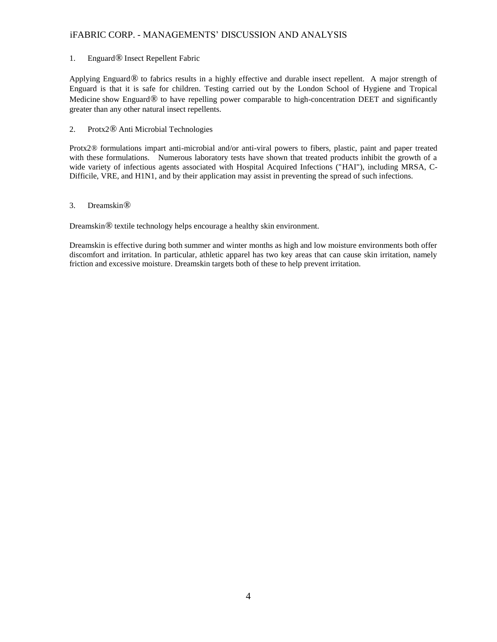### 1. Enguard*®* Insect Repellent Fabric

Applying Enguard*®* to fabrics results in a highly effective and durable insect repellent. A major strength of Enguard is that it is safe for children. Testing carried out by the London School of Hygiene and Tropical Medicine show Enguard*®* to have repelling power comparable to high-concentration DEET and significantly greater than any other natural insect repellents.

### 2. Protx2*®* Anti Microbial Technologies

Protx2*®* formulations impart anti-microbial and/or anti-viral powers to fibers, plastic, paint and paper treated with these formulations. Numerous laboratory tests have shown that treated products inhibit the growth of a wide variety of infectious agents associated with Hospital Acquired Infections ("HAI"), including MRSA, C-Difficile, VRE, and H1N1, and by their application may assist in preventing the spread of such infections.

### 3. Dreamskin*®*

Dreamskin*®* textile technology helps encourage a healthy skin environment.

Dreamskin is effective during both summer and winter months as high and low moisture environments both offer discomfort and irritation. In particular, athletic apparel has two key areas that can cause skin irritation, namely friction and excessive moisture. Dreamskin targets both of these to help prevent irritation.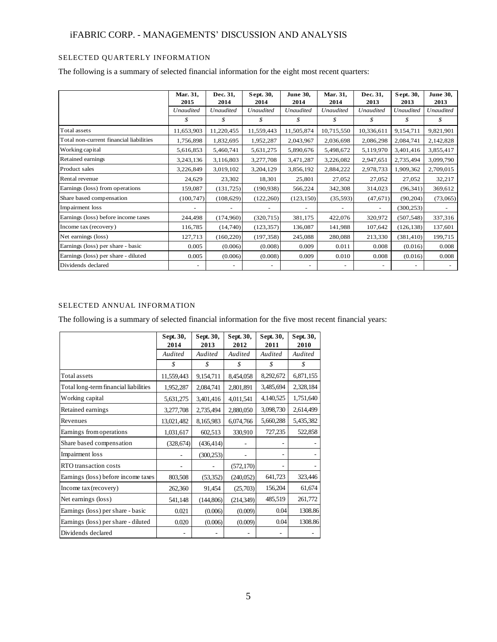### SELECTED QUARTERLY INFORMATION

The following is a summary of selected financial information for the eight most recent quarters:

|                                         | Mar. 31,<br>2015 | Dec. 31,<br>2014 | Sept. 30,<br>2014 | <b>June 30,</b><br>2014 | Mar. 31,<br>2014 | Dec. 31,<br>2013                     | Sept. 30,<br>2013 | <b>June 30,</b><br>2013 |
|-----------------------------------------|------------------|------------------|-------------------|-------------------------|------------------|--------------------------------------|-------------------|-------------------------|
|                                         | Unaudited        | <b>Unaudited</b> | Unaudited         | <b>Unaudited</b>        | Unaudited        | <b>Unaudited</b><br><b>Unaudited</b> |                   | <b>Unaudited</b>        |
|                                         | \$               | \$               | \$                | $\mathcal{S}$           | \$               | \$                                   | \$                | \$                      |
| Total assets                            | 11,653,903       | 11,220,455       | 11,559,443        | 11,505,874              | 10,715,550       | 10,336,611                           | 9,154,711         | 9,821,901               |
| Total non-current financial liabilities | 1,756,898        | 1,832,695        | 1,952,287         | 2,043,967               | 2,036,698        | 2,086,298                            | 2,084,741         | 2,142,828               |
| Working capital                         | 5,616,853        | 5,460,741        | 5,631,275         | 5,890,676               | 5,498,672        | 5,119,970                            | 3,401,416         | 3,855,417               |
| Retained earnings                       | 3,243,136        | 3,116,803        | 3,277,708         | 3,471,287               | 3,226,082        | 2,947,651                            | 2,735,494         | 3,099,790               |
| Product sales                           | 3,226,849        | 3,019,102        | 3,204,129         | 3,856,192               | 2,884,222        | 2,978,733                            | 1,909,362         | 2,709,015               |
| Rental revenue                          | 24,629           | 23,302           | 18,301            | 25,801                  | 27,052           | 27,052                               | 27,052            | 32,217                  |
| Earnings (loss) from operations         | 159,087          | (131, 725)       | (190, 938)        | 566,224                 | 342,308          | 314,023                              | (96, 341)         | 369,612                 |
| Share based compensation                | (100, 747)       | (108,629)        | (122, 260)        | (123, 150)              | (35,593)         | (47,671)                             | (90, 204)         | (73,065)                |
| Impairment loss                         |                  |                  |                   |                         | ٠                | $\sim$                               | (300, 253)        |                         |
| Earnings (loss) before income taxes     | 244,498          | (174,960)        | (320, 715)        | 381,175                 | 422,076          | 320,972                              | (507, 548)        | 337,316                 |
| Income tax (recovery)                   | 116,785          | (14,740)         | (123, 357)        | 136,087                 | 141,988          | 107,642                              | (126, 138)        | 137,601                 |
| Net earnings (loss)                     | 127,713          | (160, 220)       | (197, 358)        | 245,088                 | 280,088          | 213,330                              | (381, 410)        | 199,715                 |
| Earnings (loss) per share - basic       | 0.005            | (0.006)          | (0.008)           | 0.009                   | 0.011            | 0.008                                | (0.016)           | 0.008                   |
| Earnings (loss) per share - diluted     | 0.005            | (0.006)          | (0.008)           | 0.009                   | 0.010            | 0.008                                | (0.016)           | 0.008                   |
| Dividends declared                      | ٠                |                  |                   |                         |                  |                                      |                   |                         |

### SELECTED ANNUAL INFORMATION

The following is a summary of selected financial information for the five most recent financial years:

|                                       | Sept. 30,<br>2014 | Sept. 30,<br>2013 | Sept. 30,<br>2012 | Sept. 30,<br>2011 | Sept. 30,<br>2010 |
|---------------------------------------|-------------------|-------------------|-------------------|-------------------|-------------------|
|                                       | Audited           | Audited           | Audited           | Audited           | Audited           |
|                                       | \$                | \$                | \$                | \$                | \$                |
| Total assets                          | 11,559,443        | 9,154,711         | 8,454,058         | 8,292,672         | 6,871,155         |
| Total long-term financial liabilities | 1,952,287         | 2,084,741         | 2,801,891         | 3,485,694         | 2,328,184         |
| Working capital                       | 5,631,275         | 3,401,416         | 4,011,541         | 4,140,525         | 1,751,640         |
| Retained earnings                     | 3,277,708         | 2,735,494         | 2,880,050         | 3,098,730         | 2,614,499         |
| Revenues                              | 13,021,482        | 8,165,983         | 6,074,766         | 5,660,288         | 5,435,382         |
| Earnings from operations              | 1,031,617         | 602,513           | 330,910           | 727,235           | 522,858           |
| Share based compensation              | (328, 674)        | (436, 414)        |                   |                   |                   |
| Impairment loss                       |                   | (300, 253)        |                   |                   |                   |
| RTO transaction costs                 |                   |                   | (572, 170)        |                   |                   |
| Earnings (loss) before income taxes   | 803,508           | (53, 352)         | (240,052)         | 641,723           | 323,446           |
| Income tax (recovery)                 | 262,360           | 91,454            | (25,703)          | 156,204           | 61,674            |
| Net earnings (loss)                   | 541,148           | (144, 806)        | (214, 349)        | 485,519           | 261,772           |
| Earnings (loss) per share - basic     | 0.021             | (0.006)           | (0.009)           | 0.04              | 1308.86           |
| Earnings (loss) per share - diluted   | 0.020             | (0.006)           | (0.009)           | 0.04              | 1308.86           |
| Dividends declared                    |                   |                   |                   |                   |                   |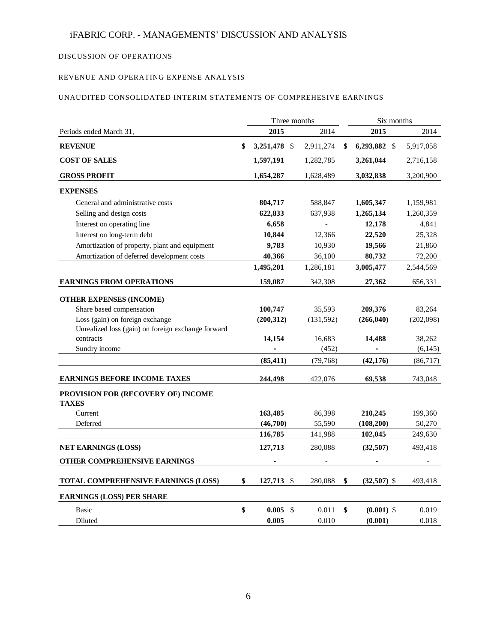### DISCUSSION OF OPERATIONS

### REVENUE AND OPERATING EXPENSE ANALYSIS

### UNAUDITED CONSOLIDATED INTERIM STATEMENTS OF COMPREHESIVE EARNINGS

|                                                    |    | Three months  |                          | Six months          |           |  |
|----------------------------------------------------|----|---------------|--------------------------|---------------------|-----------|--|
| Periods ended March 31,                            |    | 2015          | 2014                     | 2015                | 2014      |  |
| <b>REVENUE</b>                                     | \$ | 3,251,478 \$  | 2,911,274                | \$<br>6,293,882 \$  | 5,917,058 |  |
| <b>COST OF SALES</b>                               |    | 1,597,191     | 1,282,785                | 3,261,044           | 2,716,158 |  |
| <b>GROSS PROFIT</b>                                |    | 1,654,287     | 1,628,489                | 3,032,838           | 3,200,900 |  |
| <b>EXPENSES</b>                                    |    |               |                          |                     |           |  |
| General and administrative costs                   |    | 804,717       | 588,847                  | 1,605,347           | 1,159,981 |  |
| Selling and design costs                           |    | 622,833       | 637,938                  | 1,265,134           | 1,260,359 |  |
| Interest on operating line                         |    | 6,658         | $\overline{\phantom{a}}$ | 12,178              | 4,841     |  |
| Interest on long-term debt                         |    | 10,844        | 12,366                   | 22,520              | 25,328    |  |
| Amortization of property, plant and equipment      |    | 9,783         | 10,930                   | 19,566              | 21,860    |  |
| Amortization of deferred development costs         |    | 40,366        | 36,100                   | 80,732              | 72,200    |  |
|                                                    |    | 1,495,201     | 1,286,181                | 3,005,477           | 2,544,569 |  |
| <b>EARNINGS FROM OPERATIONS</b>                    |    | 159,087       | 342,308                  | 27,362              | 656,331   |  |
| <b>OTHER EXPENSES (INCOME)</b>                     |    |               |                          |                     |           |  |
| Share based compensation                           |    | 100,747       | 35,593                   | 209,376             | 83,264    |  |
| Loss (gain) on foreign exchange                    |    | (200, 312)    | (131, 592)               | (266, 040)          | (202,098) |  |
| Unrealized loss (gain) on foreign exchange forward |    |               |                          |                     |           |  |
| contracts                                          |    | 14,154        | 16,683                   | 14,488              | 38,262    |  |
| Sundry income                                      |    |               | (452)                    |                     | (6, 145)  |  |
|                                                    |    | (85, 411)     | (79, 768)                | (42, 176)           | (86, 717) |  |
| <b>EARNINGS BEFORE INCOME TAXES</b>                |    | 244,498       | 422,076                  | 69,538              | 743,048   |  |
| PROVISION FOR (RECOVERY OF) INCOME<br><b>TAXES</b> |    |               |                          |                     |           |  |
| Current                                            |    | 163,485       | 86,398                   | 210,245             | 199,360   |  |
| Deferred                                           |    | (46,700)      | 55,590                   | (108, 200)          | 50,270    |  |
|                                                    |    | 116,785       | 141,988                  | 102,045             | 249,630   |  |
| <b>NET EARNINGS (LOSS)</b>                         |    | 127,713       | 280,088                  | (32,507)            | 493,418   |  |
| OTHER COMPREHENSIVE EARNINGS                       |    |               |                          |                     |           |  |
| TOTAL COMPREHENSIVE EARNINGS (LOSS)                | \$ | 127,713<br>\$ | 280,088                  | \$<br>$(32,507)$ \$ | 493,418   |  |
| <b>EARNINGS (LOSS) PER SHARE</b>                   |    |               |                          |                     |           |  |
| <b>Basic</b>                                       | \$ | 0.005<br>-\$  | 0.011                    | \$<br>$(0.001)$ \$  | 0.019     |  |
| Diluted                                            |    | 0.005         | 0.010                    | (0.001)             | 0.018     |  |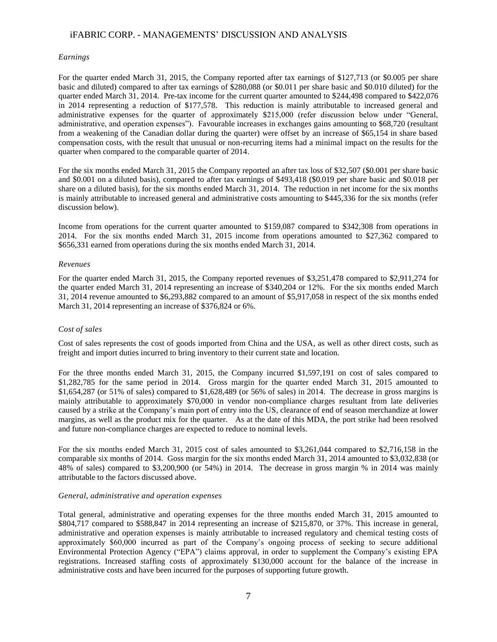#### *Earnings*

For the quarter ended March 31, 2015, the Company reported after tax earnings of \$127,713 (or \$0.005 per share basic and diluted) compared to after tax earnings of \$280,088 (or \$0.011 per share basic and \$0.010 diluted) for the quarter ended March 31, 2014. Pre-tax income for the current quarter amounted to \$244,498 compared to \$422,076 in 2014 representing a reduction of \$177,578. This reduction is mainly attributable to increased general and administrative expenses for the quarter of approximately \$215,000 (refer discussion below under "General, administrative, and operation expenses"). Favourable increases in exchanges gains amounting to \$68,720 (resultant from a weakening of the Canadian dollar during the quarter) were offset by an increase of \$65,154 in share based compensation costs, with the result that unusual or non-recurring items had a minimal impact on the results for the quarter when compared to the comparable quarter of 2014.

For the six months ended March 31, 2015 the Company reported an after tax loss of \$32,507 (\$0.001 per share basic and \$0.001 on a diluted basis), compared to after tax earnings of \$493,418 (\$0.019 per share basic and \$0.018 per share on a diluted basis), for the six months ended March 31, 2014. The reduction in net income for the six months is mainly attributable to increased general and administrative costs amounting to \$445,336 for the six months (refer discussion below).

Income from operations for the current quarter amounted to \$159,087 compared to \$342,308 from operations in 2014. For the six months ended March 31, 2015 income from operations amounted to \$27,362 compared to \$656,331 earned from operations during the six months ended March 31, 2014.

#### *Revenues*

For the quarter ended March 31, 2015, the Company reported revenues of \$3,251,478 compared to \$2,911,274 for the quarter ended March 31, 2014 representing an increase of \$340,204 or 12%. For the six months ended March 31, 2014 revenue amounted to \$6,293,882 compared to an amount of \$5,917,058 in respect of the six months ended March 31, 2014 representing an increase of \$376,824 or 6%.

#### *Cost of sales*

Cost of sales represents the cost of goods imported from China and the USA, as well as other direct costs, such as freight and import duties incurred to bring inventory to their current state and location.

For the three months ended March 31, 2015, the Company incurred \$1,597,191 on cost of sales compared to \$1,282,785 for the same period in 2014. Gross margin for the quarter ended March 31, 2015 amounted to \$1,654,287 (or 51% of sales) compared to \$1,628,489 (or 56% of sales) in 2014. The decrease in gross margins is mainly attributable to approximately \$70,000 in vendor non-compliance charges resultant from late deliveries caused by a strike at the Company's main port of entry into the US, clearance of end of season merchandize at lower margins, as well as the product mix for the quarter. As at the date of this MDA, the port strike had been resolved and future non-compliance charges are expected to reduce to nominal levels.

For the six months ended March 31, 2015 cost of sales amounted to \$3,261,044 compared to \$2,716,158 in the comparable six months of 2014. Goss margin for the six months ended March 31, 2014 amounted to \$3,032,838 (or 48% of sales) compared to \$3,200,900 (or 54%) in 2014. The decrease in gross margin % in 2014 was mainly attributable to the factors discussed above.

#### *General, administrative and operation expenses*

Total general, administrative and operating expenses for the three months ended March 31, 2015 amounted to \$804,717 compared to \$588,847 in 2014 representing an increase of \$215,870, or 37%. This increase in general, administrative and operation expenses is mainly attributable to increased regulatory and chemical testing costs of approximately \$60,000 incurred as part of the Company's ongoing process of seeking to secure additional Environmental Protection Agency ("EPA") claims approval, in order to supplement the Company's existing EPA registrations. Increased staffing costs of approximately \$130,000 account for the balance of the increase in administrative costs and have been incurred for the purposes of supporting future growth.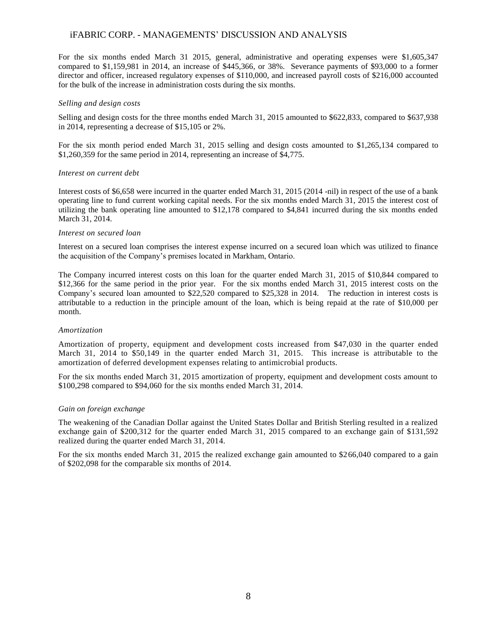For the six months ended March 31 2015, general, administrative and operating expenses were \$1,605,347 compared to \$1,159,981 in 2014, an increase of \$445,366, or 38%. Severance payments of \$93,000 to a former director and officer, increased regulatory expenses of \$110,000, and increased payroll costs of \$216,000 accounted for the bulk of the increase in administration costs during the six months.

#### *Selling and design costs*

Selling and design costs for the three months ended March 31, 2015 amounted to \$622,833, compared to \$637,938 in 2014, representing a decrease of \$15,105 or 2%.

For the six month period ended March 31, 2015 selling and design costs amounted to \$1,265,134 compared to \$1,260,359 for the same period in 2014, representing an increase of \$4,775.

#### *Interest on current debt*

Interest costs of \$6,658 were incurred in the quarter ended March 31, 2015 (2014 -nil) in respect of the use of a bank operating line to fund current working capital needs. For the six months ended March 31, 2015 the interest cost of utilizing the bank operating line amounted to \$12,178 compared to \$4,841 incurred during the six months ended March 31, 2014.

#### *Interest on secured loan*

Interest on a secured loan comprises the interest expense incurred on a secured loan which was utilized to finance the acquisition of the Company's premises located in Markham, Ontario.

The Company incurred interest costs on this loan for the quarter ended March 31, 2015 of \$10,844 compared to \$12,366 for the same period in the prior year. For the six months ended March 31, 2015 interest costs on the Company's secured loan amounted to \$22,520 compared to \$25,328 in 2014. The reduction in interest costs is attributable to a reduction in the principle amount of the loan, which is being repaid at the rate of \$10,000 per month.

#### *Amortization*

Amortization of property, equipment and development costs increased from \$47,030 in the quarter ended March 31, 2014 to \$50,149 in the quarter ended March 31, 2015. This increase is attributable to the amortization of deferred development expenses relating to antimicrobial products.

For the six months ended March 31, 2015 amortization of property, equipment and development costs amount to \$100,298 compared to \$94,060 for the six months ended March 31, 2014.

#### *Gain on foreign exchange*

The weakening of the Canadian Dollar against the United States Dollar and British Sterling resulted in a realized exchange gain of \$200,312 for the quarter ended March 31, 2015 compared to an exchange gain of \$131,592 realized during the quarter ended March 31, 2014.

For the six months ended March 31, 2015 the realized exchange gain amounted to \$266,040 compared to a gain of \$202,098 for the comparable six months of 2014.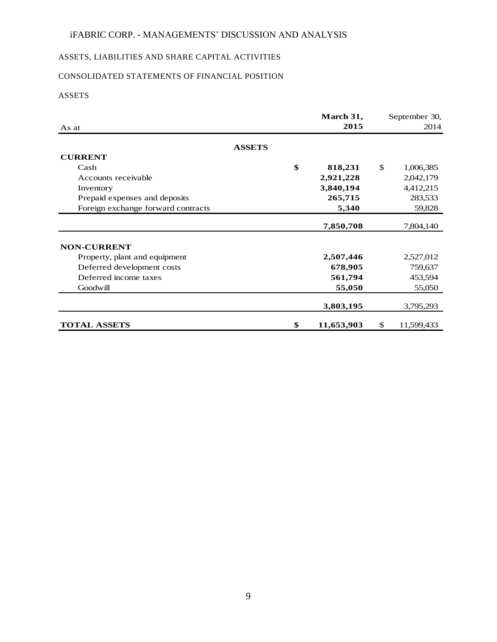# ASSETS, LIABILITIES AND SHARE CAPITAL ACTIVITIES

# CONSOLIDATED STATEMENTS OF FINANCIAL POSITION

# ASSETS

|                                    | March 31,        | September 30,    |
|------------------------------------|------------------|------------------|
| As at                              | 2015             | 2014             |
| <b>ASSETS</b>                      |                  |                  |
| <b>CURRENT</b>                     |                  |                  |
| Cash                               | \$<br>818,231    | \$<br>1,006,385  |
| Accounts receivable                | 2,921,228        | 2,042,179        |
| Inventory                          | 3,840,194        | 4,412,215        |
| Prepaid expenses and deposits      | 265,715          | 283,533          |
| Foreign exchange forward contracts | 5,340            | 59,828           |
|                                    |                  |                  |
|                                    | 7,850,708        | 7,804,140        |
| <b>NON-CURRENT</b>                 |                  |                  |
| Property, plant and equipment      | 2,507,446        | 2,527,012        |
| Deferred development costs         | 678,905          | 759,637          |
| Deferred income taxes              | 561,794          | 453,594          |
| Goodwill                           | 55,050           | 55,050           |
|                                    | 3,803,195        | 3,795,293        |
|                                    |                  |                  |
| <b>TOTAL ASSETS</b>                | \$<br>11,653,903 | \$<br>11,599,433 |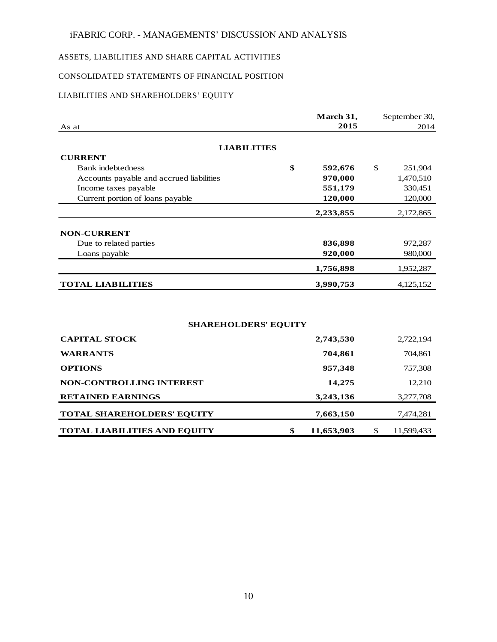## ASSETS, LIABILITIES AND SHARE CAPITAL ACTIVITIES

# CONSOLIDATED STATEMENTS OF FINANCIAL POSITION

# LIABILITIES AND SHAREHOLDERS' EQUITY

|                                          | March 31,     | September 30, |
|------------------------------------------|---------------|---------------|
| As at                                    | 2015          | 2014          |
| <b>LIABILITIES</b>                       |               |               |
| <b>CURRENT</b>                           |               |               |
| <b>Bank</b> indebtedness                 | \$<br>592,676 | \$<br>251,904 |
| Accounts payable and accrued liabilities | 970,000       | 1,470,510     |
| Income taxes payable                     | 551,179       | 330,451       |
| Current portion of loans payable         | 120,000       | 120,000       |
|                                          | 2,233,855     | 2,172,865     |
| <b>NON-CURRENT</b>                       |               |               |
| Due to related parties                   | 836,898       | 972,287       |
| Loans payable                            | 920,000       | 980,000       |
|                                          | 1,756,898     | 1,952,287     |
| <b>TOTAL LIABILITIES</b>                 | 3,990,753     | 4,125,152     |

## **SHAREHOLDERS' EQUITY**

| <b>CAPITAL STOCK</b>                | 2,743,530        | 2,722,194        |
|-------------------------------------|------------------|------------------|
| <b>WARRANTS</b>                     | 704,861          | 704,861          |
| <b>OPTIONS</b>                      | 957,348          | 757,308          |
| NON-CONTROLLING INTEREST            | 14,275           | 12,210           |
| <b>RETAINED EARNINGS</b>            | 3,243,136        | 3,277,708        |
| <b>TOTAL SHAREHOLDERS' EQUITY</b>   | 7,663,150        | 7,474,281        |
| <b>TOTAL LIABILITIES AND EQUITY</b> | \$<br>11,653,903 | \$<br>11,599,433 |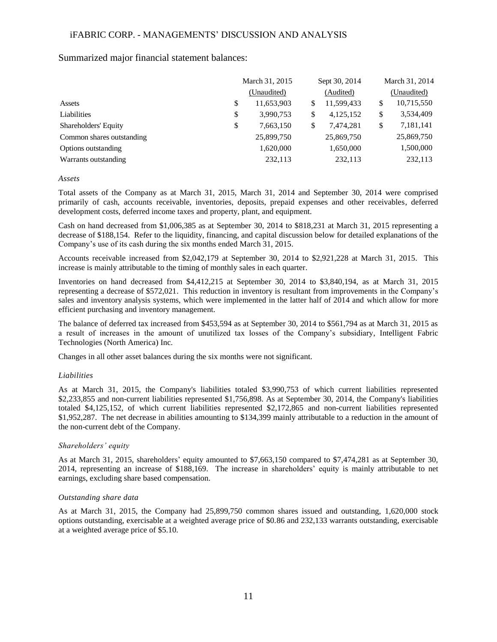### Summarized major financial statement balances:

| March 31, 2015 |                |                                                                            |               | March 31, 2014 |
|----------------|----------------|----------------------------------------------------------------------------|---------------|----------------|
| (Unaudited)    |                | (Audited)                                                                  |               | (Unaudited)    |
|                | \$             | 11,599,433                                                                 | \$            | 10,715,550     |
|                | \$             | 4,125,152                                                                  | \$            | 3,534,409      |
|                | \$             | 7,474,281                                                                  | \$            | 7,181,141      |
|                |                | 25,869,750                                                                 |               | 25,869,750     |
|                |                | 1,650,000                                                                  |               | 1,500,000      |
|                |                | 232,113                                                                    |               | 232,113        |
|                | \$<br>\$<br>\$ | 11,653,903<br>3,990,753<br>7,663,150<br>25,899,750<br>1,620,000<br>232,113 | Sept 30, 2014 |                |

#### *Assets*

Total assets of the Company as at March 31, 2015, March 31, 2014 and September 30, 2014 were comprised primarily of cash, accounts receivable, inventories, deposits, prepaid expenses and other receivables, deferred development costs, deferred income taxes and property, plant, and equipment.

Cash on hand decreased from \$1,006,385 as at September 30, 2014 to \$818,231 at March 31, 2015 representing a decrease of \$188,154. Refer to the liquidity, financing, and capital discussion below for detailed explanations of the Company's use of its cash during the six months ended March 31, 2015.

Accounts receivable increased from \$2,042,179 at September 30, 2014 to \$2,921,228 at March 31, 2015. This increase is mainly attributable to the timing of monthly sales in each quarter.

Inventories on hand decreased from \$4,412,215 at September 30, 2014 to \$3,840,194, as at March 31, 2015 representing a decrease of \$572,021. This reduction in inventory is resultant from improvements in the Company's sales and inventory analysis systems, which were implemented in the latter half of 2014 and which allow for more efficient purchasing and inventory management.

The balance of deferred tax increased from \$453,594 as at September 30, 2014 to \$561,794 as at March 31, 2015 as a result of increases in the amount of unutilized tax losses of the Company's subsidiary, Intelligent Fabric Technologies (North America) Inc.

Changes in all other asset balances during the six months were not significant.

### *Liabilities*

As at March 31, 2015, the Company's liabilities totaled \$3,990,753 of which current liabilities represented \$2,233,855 and non-current liabilities represented \$1,756,898. As at September 30, 2014, the Company's liabilities totaled \$4,125,152, of which current liabilities represented \$2,172,865 and non-current liabilities represented \$1,952,287. The net decrease in abilities amounting to \$134,399 mainly attributable to a reduction in the amount of the non-current debt of the Company.

### *Shareholders' equity*

As at March 31, 2015, shareholders' equity amounted to \$7,663,150 compared to \$7,474,281 as at September 30, 2014, representing an increase of \$188,169. The increase in shareholders' equity is mainly attributable to net earnings, excluding share based compensation.

### *Outstanding share data*

As at March 31, 2015, the Company had 25,899,750 common shares issued and outstanding, 1,620,000 stock options outstanding, exercisable at a weighted average price of \$0.86 and 232,133 warrants outstanding, exercisable at a weighted average price of \$5.10.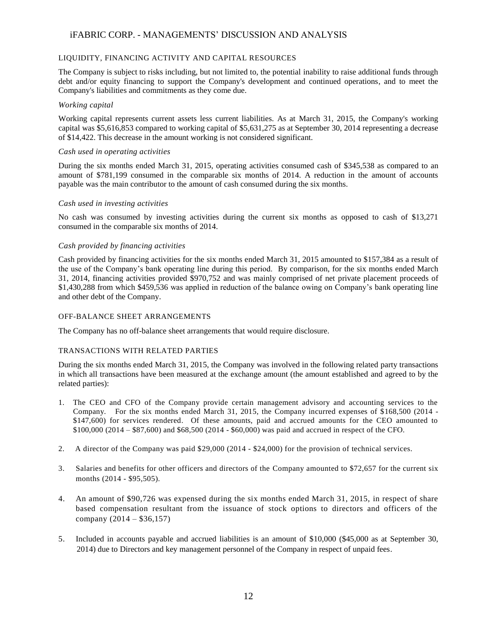#### LIQUIDITY, FINANCING ACTIVITY AND CAPITAL RESOURCES

The Company is subject to risks including, but not limited to, the potential inability to raise additional funds through debt and/or equity financing to support the Company's development and continued operations, and to meet the Company's liabilities and commitments as they come due.

#### *Working capital*

Working capital represents current assets less current liabilities. As at March 31, 2015, the Company's working capital was \$5,616,853 compared to working capital of \$5,631,275 as at September 30, 2014 representing a decrease of \$14,422. This decrease in the amount working is not considered significant.

#### *Cash used in operating activities*

During the six months ended March 31, 2015, operating activities consumed cash of \$345,538 as compared to an amount of \$781,199 consumed in the comparable six months of 2014. A reduction in the amount of accounts payable was the main contributor to the amount of cash consumed during the six months.

#### *Cash used in investing activities*

No cash was consumed by investing activities during the current six months as opposed to cash of \$13,271 consumed in the comparable six months of 2014.

#### *Cash provided by financing activities*

Cash provided by financing activities for the six months ended March 31, 2015 amounted to \$157,384 as a result of the use of the Company's bank operating line during this period. By comparison, for the six months ended March 31, 2014, financing activities provided \$970,752 and was mainly comprised of net private placement proceeds of \$1,430,288 from which \$459,536 was applied in reduction of the balance owing on Company's bank operating line and other debt of the Company.

#### OFF-BALANCE SHEET ARRANGEMENTS

The Company has no off-balance sheet arrangements that would require disclosure.

### TRANSACTIONS WITH RELATED PARTIES

During the six months ended March 31, 2015, the Company was involved in the following related party transactions in which all transactions have been measured at the exchange amount (the amount established and agreed to by the related parties):

- 1. The CEO and CFO of the Company provide certain management advisory and accounting services to the Company. For the six months ended March 31, 2015, the Company incurred expenses of \$168,500 (2014 - \$147,600) for services rendered. Of these amounts, paid and accrued amounts for the CEO amounted to \$100,000 (2014 – \$87,600) and \$68,500 (2014 - \$60,000) was paid and accrued in respect of the CFO.
- 2. A director of the Company was paid \$29,000 (2014 \$24,000) for the provision of technical services.
- 3. Salaries and benefits for other officers and directors of the Company amounted to \$72,657 for the current six months (2014 - \$95,505).
- 4. An amount of \$90,726 was expensed during the six months ended March 31, 2015, in respect of share based compensation resultant from the issuance of stock options to directors and officers of the company (2014 – \$36,157)
- 5. Included in accounts payable and accrued liabilities is an amount of \$10,000 (\$45,000 as at September 30, 2014) due to Directors and key management personnel of the Company in respect of unpaid fees.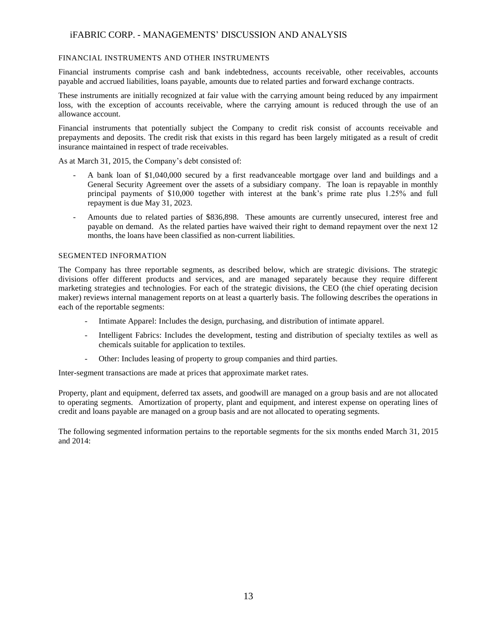#### FINANCIAL INSTRUMENTS AND OTHER INSTRUMENTS

Financial instruments comprise cash and bank indebtedness, accounts receivable, other receivables, accounts payable and accrued liabilities, loans payable, amounts due to related parties and forward exchange contracts.

These instruments are initially recognized at fair value with the carrying amount being reduced by any impairment loss, with the exception of accounts receivable, where the carrying amount is reduced through the use of an allowance account.

Financial instruments that potentially subject the Company to credit risk consist of accounts receivable and prepayments and deposits. The credit risk that exists in this regard has been largely mitigated as a result of credit insurance maintained in respect of trade receivables.

As at March 31, 2015, the Company's debt consisted of:

- A bank loan of \$1,040,000 secured by a first readvanceable mortgage over land and buildings and a General Security Agreement over the assets of a subsidiary company. The loan is repayable in monthly principal payments of \$10,000 together with interest at the bank's prime rate plus 1.25% and full repayment is due May 31, 2023.
- Amounts due to related parties of \$836,898. These amounts are currently unsecured, interest free and payable on demand. As the related parties have waived their right to demand repayment over the next 12 months, the loans have been classified as non-current liabilities.

#### SEGMENTED INFORMATION

The Company has three reportable segments, as described below, which are strategic divisions. The strategic divisions offer different products and services, and are managed separately because they require different marketing strategies and technologies. For each of the strategic divisions, the CEO (the chief operating decision maker) reviews internal management reports on at least a quarterly basis. The following describes the operations in each of the reportable segments:

- Intimate Apparel: Includes the design, purchasing, and distribution of intimate apparel.
- Intelligent Fabrics: Includes the development, testing and distribution of specialty textiles as well as chemicals suitable for application to textiles.
- Other: Includes leasing of property to group companies and third parties.

Inter-segment transactions are made at prices that approximate market rates.

Property, plant and equipment, deferred tax assets, and goodwill are managed on a group basis and are not allocated to operating segments. Amortization of property, plant and equipment, and interest expense on operating lines of credit and loans payable are managed on a group basis and are not allocated to operating segments.

The following segmented information pertains to the reportable segments for the six months ended March 31, 2015 and 2014: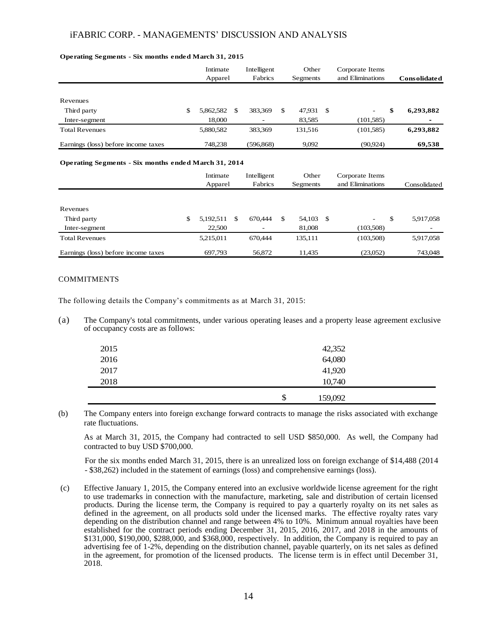#### **Operating Segments - Six months ended March 31, 2015**

|                                     | Intimate<br>Apparel |   | Intelligent<br>Fabrics |   | Other<br>Segments |    | Corporate Items<br>and Eliminations | <b>Consolidated</b> |
|-------------------------------------|---------------------|---|------------------------|---|-------------------|----|-------------------------------------|---------------------|
|                                     |                     |   |                        |   |                   |    |                                     |                     |
| Revenues                            |                     |   |                        |   |                   |    |                                     |                     |
| Third party                         | \$<br>5,862,582     | S | 383,369                | S | 47,931            | -S | $\overline{\phantom{a}}$            | \$<br>6,293,882     |
| Inter-segment                       | 18.000              |   |                        |   | 83.585            |    | (101.585)                           | $\blacksquare$      |
| <b>Total Revenues</b>               | 5,880,582           |   | 383.369                |   | 131.516           |    | (101, 585)                          | 6,293,882           |
| Earnings (loss) before income taxes | 748.238             |   | (596.868)              |   | 9.092             |    | (90.924)                            | 69.538              |

#### **Operating Segments - Six months ended March 31, 2014**

|                                     | Intimate<br>Apparel |   | Intelligent<br>Fabrics | Other<br>Segments |    | Corporate Items<br>and Eliminations | Consolidated             |
|-------------------------------------|---------------------|---|------------------------|-------------------|----|-------------------------------------|--------------------------|
|                                     |                     |   |                        |                   |    |                                     |                          |
| Revenues                            |                     |   |                        |                   |    |                                     |                          |
| Third party                         | \$<br>5,192,511     | S | 670.444                | \$<br>54,103      | -S | $\overline{\phantom{a}}$            | \$<br>5,917,058          |
| Inter-segment                       | 22,500              |   | -                      | 81,008            |    | (103.508)                           | $\overline{\phantom{0}}$ |
| <b>Total Revenues</b>               | 5,215,011           |   | 670,444                | 135,111           |    | (103,508)                           | 5,917,058                |
| Earnings (loss) before income taxes | 697.793             |   | 56,872                 | 11.435            |    | (23,052)                            | 743,048                  |

#### COMMITMENTS

The following details the Company's commitments as at March 31, 2015:

(a) The Company's total commitments, under various operating leases and a property lease agreement exclusive of occupancy costs are as follows:

| 2015 | 42,352        |
|------|---------------|
| 2016 | 64,080        |
| 2017 | 41,920        |
| 2018 | 10,740        |
|      | \$<br>159,092 |

(b) The Company enters into foreign exchange forward contracts to manage the risks associated with exchange rate fluctuations.

As at March 31, 2015, the Company had contracted to sell USD \$850,000. As well, the Company had contracted to buy USD \$700,000.

For the six months ended March 31, 2015, there is an unrealized loss on foreign exchange of \$14,488 (2014 - \$38,262) included in the statement of earnings (loss) and comprehensive earnings (loss).

(c) Effective January 1, 2015, the Company entered into an exclusive worldwide license agreement for the right to use trademarks in connection with the manufacture, marketing, sale and distribution of certain licensed products. During the license term, the Company is required to pay a quarterly royalty on its net sales as defined in the agreement, on all products sold under the licensed marks. The effective royalty rates vary depending on the distribution channel and range between 4% to 10%. Minimum annual royalties have been established for the contract periods ending December 31, 2015, 2016, 2017, and 2018 in the amounts of \$131,000, \$190,000, \$288,000, and \$368,000, respectively. In addition, the Company is required to pay an advertising fee of 1-2%, depending on the distribution channel, payable quarterly, on its net sales as defined in the agreement, for promotion of the licensed products. The license term is in effect until December 31, 2018.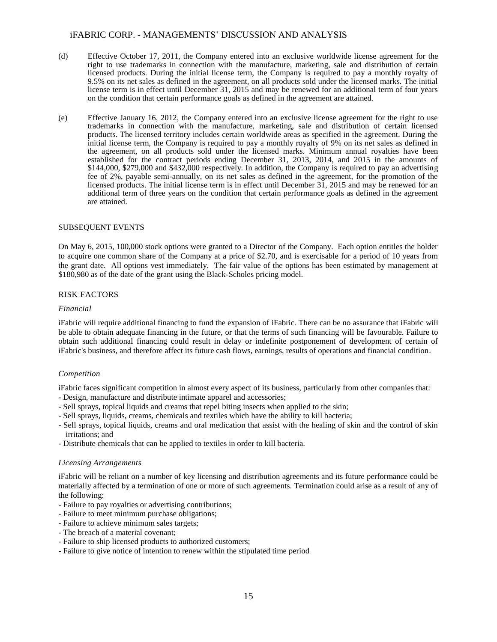- (d) Effective October 17, 2011, the Company entered into an exclusive worldwide license agreement for the right to use trademarks in connection with the manufacture, marketing, sale and distribution of certain licensed products. During the initial license term, the Company is required to pay a monthly royalty of 9.5% on its net sales as defined in the agreement, on all products sold under the licensed marks. The initial license term is in effect until December 31, 2015 and may be renewed for an additional term of four years on the condition that certain performance goals as defined in the agreement are attained.
- (e) Effective January 16, 2012, the Company entered into an exclusive license agreement for the right to use trademarks in connection with the manufacture, marketing, sale and distribution of certain licensed products. The licensed territory includes certain worldwide areas as specified in the agreement. During the initial license term, the Company is required to pay a monthly royalty of 9% on its net sales as defined in the agreement, on all products sold under the licensed marks. Minimum annual royalties have been established for the contract periods ending December 31, 2013, 2014, and 2015 in the amounts of \$144,000, \$279,000 and \$432,000 respectively. In addition, the Company is required to pay an advertising fee of 2%, payable semi-annually, on its net sales as defined in the agreement, for the promotion of the licensed products. The initial license term is in effect until December 31, 2015 and may be renewed for an additional term of three years on the condition that certain performance goals as defined in the agreement are attained.

#### SUBSEQUENT EVENTS

On May 6, 2015, 100,000 stock options were granted to a Director of the Company. Each option entitles the holder to acquire one common share of the Company at a price of \$2.70, and is exercisable for a period of 10 years from the grant date. All options vest immediately. The fair value of the options has been estimated by management at \$180,980 as of the date of the grant using the Black-Scholes pricing model.

#### RISK FACTORS

#### *Financial*

iFabric will require additional financing to fund the expansion of iFabric. There can be no assurance that iFabric will be able to obtain adequate financing in the future, or that the terms of such financing will be favourable. Failure to obtain such additional financing could result in delay or indefinite postponement of development of certain of iFabric's business, and therefore affect its future cash flows, earnings, results of operations and financial condition.

#### *Competition*

iFabric faces significant competition in almost every aspect of its business, particularly from other companies that:

- Design, manufacture and distribute intimate apparel and accessories;
- Sell sprays, topical liquids and creams that repel biting insects when applied to the skin;
- Sell sprays, liquids, creams, chemicals and textiles which have the ability to kill bacteria;
- Sell sprays, topical liquids, creams and oral medication that assist with the healing of skin and the control of skin irritations; and
- Distribute chemicals that can be applied to textiles in order to kill bacteria.

#### *Licensing Arrangements*

iFabric will be reliant on a number of key licensing and distribution agreements and its future performance could be materially affected by a termination of one or more of such agreements. Termination could arise as a result of any of the following:

- Failure to pay royalties or advertising contributions;
- Failure to meet minimum purchase obligations;
- Failure to achieve minimum sales targets;
- The breach of a material covenant;
- Failure to ship licensed products to authorized customers;
- Failure to give notice of intention to renew within the stipulated time period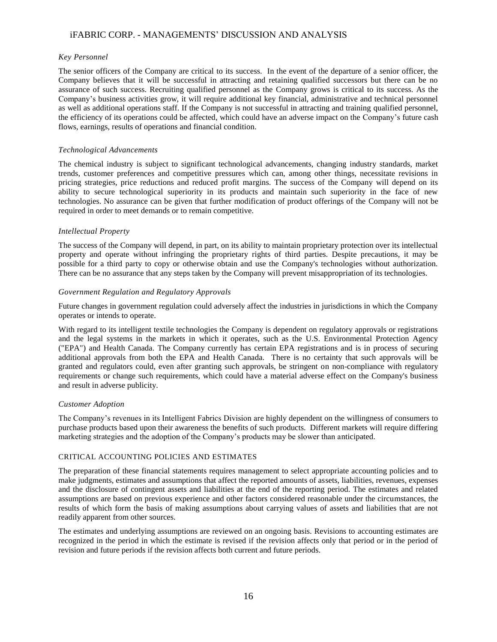#### *Key Personnel*

The senior officers of the Company are critical to its success. In the event of the departure of a senior officer, the Company believes that it will be successful in attracting and retaining qualified successors but there can be no assurance of such success. Recruiting qualified personnel as the Company grows is critical to its success. As the Company's business activities grow, it will require additional key financial, administrative and technical personnel as well as additional operations staff. If the Company is not successful in attracting and training qualified personnel, the efficiency of its operations could be affected, which could have an adverse impact on the Company's future cash flows, earnings, results of operations and financial condition.

#### *Technological Advancements*

The chemical industry is subject to significant technological advancements, changing industry standards, market trends, customer preferences and competitive pressures which can, among other things, necessitate revisions in pricing strategies, price reductions and reduced profit margins. The success of the Company will depend on its ability to secure technological superiority in its products and maintain such superiority in the face of new technologies. No assurance can be given that further modification of product offerings of the Company will not be required in order to meet demands or to remain competitive.

#### *Intellectual Property*

The success of the Company will depend, in part, on its ability to maintain proprietary protection over its intellectual property and operate without infringing the proprietary rights of third parties. Despite precautions, it may be possible for a third party to copy or otherwise obtain and use the Company's technologies without authorization. There can be no assurance that any steps taken by the Company will prevent misappropriation of its technologies.

#### *Government Regulation and Regulatory Approvals*

Future changes in government regulation could adversely affect the industries in jurisdictions in which the Company operates or intends to operate.

With regard to its intelligent textile technologies the Company is dependent on regulatory approvals or registrations and the legal systems in the markets in which it operates, such as the U.S. Environmental Protection Agency ("EPA") and Health Canada. The Company currently has certain EPA registrations and is in process of securing additional approvals from both the EPA and Health Canada. There is no certainty that such approvals will be granted and regulators could, even after granting such approvals, be stringent on non-compliance with regulatory requirements or change such requirements, which could have a material adverse effect on the Company's business and result in adverse publicity.

#### *Customer Adoption*

The Company's revenues in its Intelligent Fabrics Division are highly dependent on the willingness of consumers to purchase products based upon their awareness the benefits of such products. Different markets will require differing marketing strategies and the adoption of the Company's products may be slower than anticipated.

#### CRITICAL ACCOUNTING POLICIES AND ESTIMATES

The preparation of these financial statements requires management to select appropriate accounting policies and to make judgments, estimates and assumptions that affect the reported amounts of assets, liabilities, revenues, expenses and the disclosure of contingent assets and liabilities at the end of the reporting period. The estimates and related assumptions are based on previous experience and other factors considered reasonable under the circumstances, the results of which form the basis of making assumptions about carrying values of assets and liabilities that are not readily apparent from other sources.

The estimates and underlying assumptions are reviewed on an ongoing basis. Revisions to accounting estimates are recognized in the period in which the estimate is revised if the revision affects only that period or in the period of revision and future periods if the revision affects both current and future periods.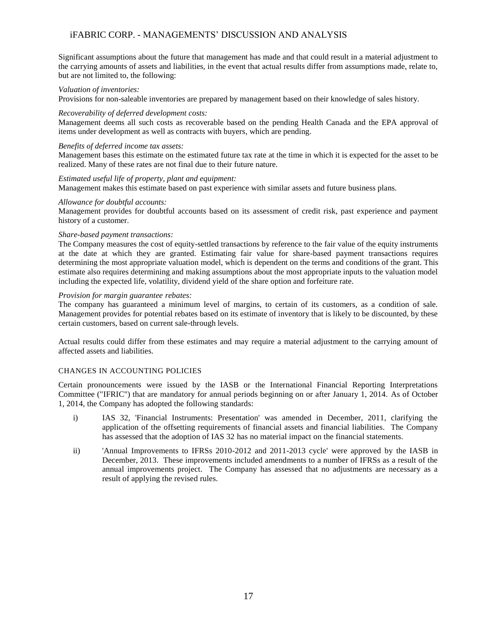Significant assumptions about the future that management has made and that could result in a material adjustment to the carrying amounts of assets and liabilities, in the event that actual results differ from assumptions made, relate to, but are not limited to, the following:

#### *Valuation of inventories:*

Provisions for non-saleable inventories are prepared by management based on their knowledge of sales history.

#### *Recoverability of deferred development costs:*

Management deems all such costs as recoverable based on the pending Health Canada and the EPA approval of items under development as well as contracts with buyers, which are pending.

#### *Benefits of deferred income tax assets:*

Management bases this estimate on the estimated future tax rate at the time in which it is expected for the asset to be realized. Many of these rates are not final due to their future nature.

#### *Estimated useful life of property, plant and equipment:*

Management makes this estimate based on past experience with similar assets and future business plans.

#### *Allowance for doubtful accounts:*

Management provides for doubtful accounts based on its assessment of credit risk, past experience and payment history of a customer.

#### *Share-based payment transactions:*

The Company measures the cost of equity-settled transactions by reference to the fair value of the equity instruments at the date at which they are granted. Estimating fair value for share-based payment transactions requires determining the most appropriate valuation model, which is dependent on the terms and conditions of the grant. This estimate also requires determining and making assumptions about the most appropriate inputs to the valuation model including the expected life, volatility, dividend yield of the share option and forfeiture rate.

#### *Provision for margin guarantee rebates:*

The company has guaranteed a minimum level of margins, to certain of its customers, as a condition of sale. Management provides for potential rebates based on its estimate of inventory that is likely to be discounted, by these certain customers, based on current sale-through levels.

Actual results could differ from these estimates and may require a material adjustment to the carrying amount of affected assets and liabilities.

#### CHANGES IN ACCOUNTING POLICIES

Certain pronouncements were issued by the IASB or the International Financial Reporting Interpretations Committee ("IFRIC") that are mandatory for annual periods beginning on or after January 1, 2014. As of October 1, 2014, the Company has adopted the following standards:

- i) IAS 32, 'Financial Instruments: Presentation' was amended in December, 2011, clarifying the application of the offsetting requirements of financial assets and financial liabilities. The Company has assessed that the adoption of IAS 32 has no material impact on the financial statements.
- ii) 'Annual Improvements to IFRSs 2010-2012 and 2011-2013 cycle' were approved by the IASB in December, 2013. These improvements included amendments to a number of IFRSs as a result of the annual improvements project. The Company has assessed that no adjustments are necessary as a result of applying the revised rules.